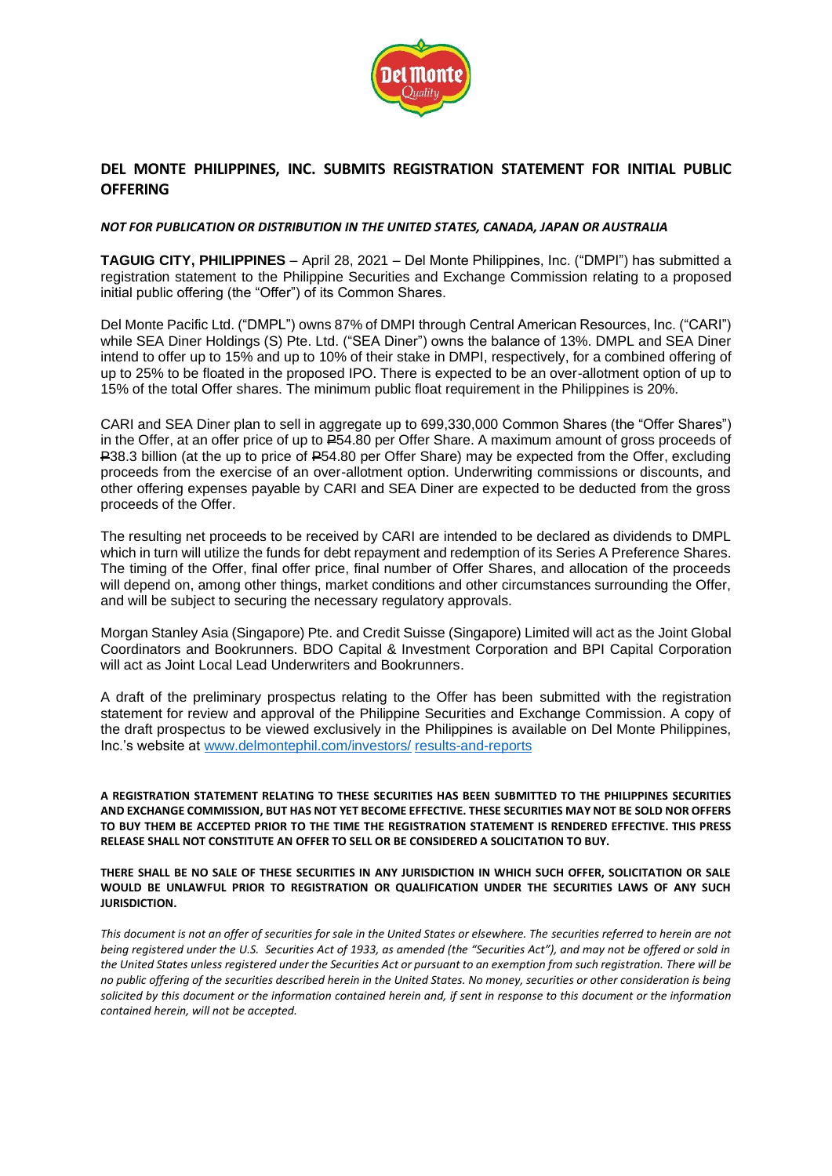

# **DEL MONTE PHILIPPINES, INC. SUBMITS REGISTRATION STATEMENT FOR INITIAL PUBLIC OFFERING**

## *NOT FOR PUBLICATION OR DISTRIBUTION IN THE UNITED STATES, CANADA, JAPAN OR AUSTRALIA*

**TAGUIG CITY, PHILIPPINES** – April 28, 2021 – Del Monte Philippines, Inc. ("DMPI") has submitted a registration statement to the Philippine Securities and Exchange Commission relating to a proposed initial public offering (the "Offer") of its Common Shares.

Del Monte Pacific Ltd. ("DMPL") owns 87% of DMPI through Central American Resources, Inc. ("CARI") while SEA Diner Holdings (S) Pte. Ltd. ("SEA Diner") owns the balance of 13%. DMPL and SEA Diner intend to offer up to 15% and up to 10% of their stake in DMPI, respectively, for a combined offering of up to 25% to be floated in the proposed IPO. There is expected to be an over-allotment option of up to 15% of the total Offer shares. The minimum public float requirement in the Philippines is 20%.

CARI and SEA Diner plan to sell in aggregate up to 699,330,000 Common Shares (the "Offer Shares") in the Offer, at an offer price of up to P54.80 per Offer Share. A maximum amount of gross proceeds of P38.3 billion (at the up to price of P54.80 per Offer Share) may be expected from the Offer, excluding proceeds from the exercise of an over-allotment option. Underwriting commissions or discounts, and other offering expenses payable by CARI and SEA Diner are expected to be deducted from the gross proceeds of the Offer.

The resulting net proceeds to be received by CARI are intended to be declared as dividends to DMPL which in turn will utilize the funds for debt repayment and redemption of its Series A Preference Shares. The timing of the Offer, final offer price, final number of Offer Shares, and allocation of the proceeds will depend on, among other things, market conditions and other circumstances surrounding the Offer, and will be subject to securing the necessary regulatory approvals.

Morgan Stanley Asia (Singapore) Pte. and Credit Suisse (Singapore) Limited will act as the Joint Global Coordinators and Bookrunners. BDO Capital & Investment Corporation and BPI Capital Corporation will act as Joint Local Lead Underwriters and Bookrunners.

A draft of the preliminary prospectus relating to the Offer has been submitted with the registration statement for review and approval of the Philippine Securities and Exchange Commission. A copy of the draft prospectus to be viewed exclusively in the Philippines is available on Del Monte Philippines, Inc.'s website at [www.delmontephil.com/investors/](https://www.delmontephil.com/investors/results-and-reports) results-and-reports

**A REGISTRATION STATEMENT RELATING TO THESE SECURITIES HAS BEEN SUBMITTED TO THE PHILIPPINES SECURITIES AND EXCHANGE COMMISSION, BUT HAS NOT YET BECOME EFFECTIVE. THESE SECURITIES MAY NOT BE SOLD NOR OFFERS TO BUY THEM BE ACCEPTED PRIOR TO THE TIME THE REGISTRATION STATEMENT IS RENDERED EFFECTIVE. THIS PRESS RELEASE SHALL NOT CONSTITUTE AN OFFER TO SELL OR BE CONSIDERED A SOLICITATION TO BUY.**

**THERE SHALL BE NO SALE OF THESE SECURITIES IN ANY JURISDICTION IN WHICH SUCH OFFER, SOLICITATION OR SALE WOULD BE UNLAWFUL PRIOR TO REGISTRATION OR QUALIFICATION UNDER THE SECURITIES LAWS OF ANY SUCH JURISDICTION.**

*This document is not an offer of securities for sale in the United States or elsewhere. The securities referred to herein are not being registered under the U.S. Securities Act of 1933, as amended (the "Securities Act"), and may not be offered or sold in the United States unless registered under the Securities Act or pursuant to an exemption from such registration. There will be no public offering of the securities described herein in the United States. No money, securities or other consideration is being solicited by this document or the information contained herein and, if sent in response to this document or the information contained herein, will not be accepted.*